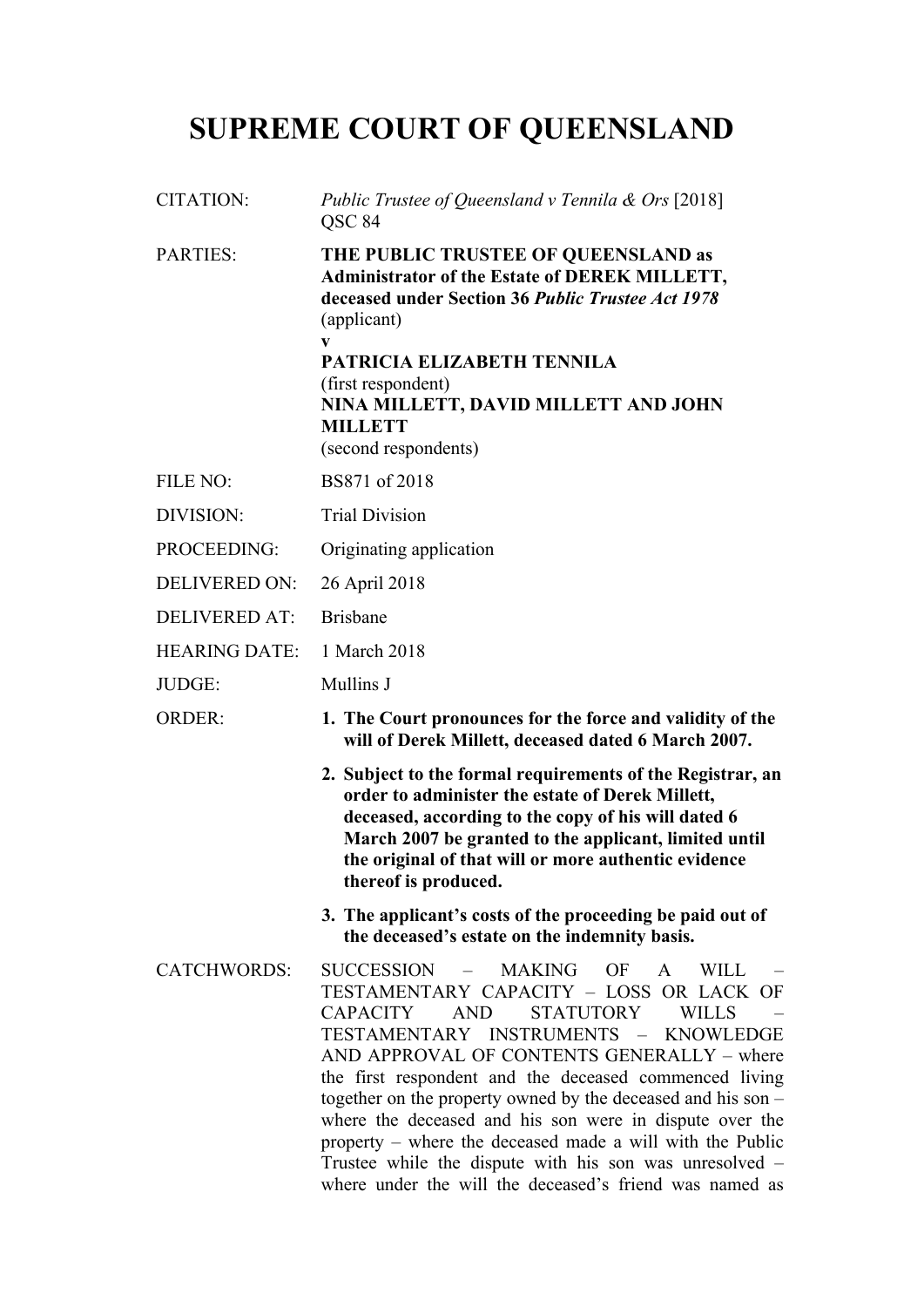# **SUPREME COURT OF QUEENSLAND**

| <b>CITATION:</b>     | Public Trustee of Queensland v Tennila & Ors [2018]<br>QSC 84                                                                                                                                                                                                                                                                                                                                                                                                                                                                                                                                                        |
|----------------------|----------------------------------------------------------------------------------------------------------------------------------------------------------------------------------------------------------------------------------------------------------------------------------------------------------------------------------------------------------------------------------------------------------------------------------------------------------------------------------------------------------------------------------------------------------------------------------------------------------------------|
| <b>PARTIES:</b>      | THE PUBLIC TRUSTEE OF QUEENSLAND as<br>Administrator of the Estate of DEREK MILLETT,<br>deceased under Section 36 Public Trustee Act 1978<br>(applicant)<br>V<br>PATRICIA ELIZABETH TENNILA<br>(first respondent)<br>NINA MILLETT, DAVID MILLETT AND JOHN<br><b>MILLETT</b><br>(second respondents)                                                                                                                                                                                                                                                                                                                  |
| <b>FILE NO:</b>      | BS871 of 2018                                                                                                                                                                                                                                                                                                                                                                                                                                                                                                                                                                                                        |
| <b>DIVISION:</b>     | <b>Trial Division</b>                                                                                                                                                                                                                                                                                                                                                                                                                                                                                                                                                                                                |
| <b>PROCEEDING:</b>   | Originating application                                                                                                                                                                                                                                                                                                                                                                                                                                                                                                                                                                                              |
| <b>DELIVERED ON:</b> | 26 April 2018                                                                                                                                                                                                                                                                                                                                                                                                                                                                                                                                                                                                        |
| <b>DELIVERED AT:</b> | <b>Brisbane</b>                                                                                                                                                                                                                                                                                                                                                                                                                                                                                                                                                                                                      |
| <b>HEARING DATE:</b> | 1 March 2018                                                                                                                                                                                                                                                                                                                                                                                                                                                                                                                                                                                                         |
| JUDGE:               | Mullins J                                                                                                                                                                                                                                                                                                                                                                                                                                                                                                                                                                                                            |
| <b>ORDER:</b>        | 1. The Court pronounces for the force and validity of the<br>will of Derek Millett, deceased dated 6 March 2007.                                                                                                                                                                                                                                                                                                                                                                                                                                                                                                     |
|                      | 2. Subject to the formal requirements of the Registrar, an<br>order to administer the estate of Derek Millett,<br>deceased, according to the copy of his will dated 6<br>March 2007 be granted to the applicant, limited until<br>the original of that will or more authentic evidence<br>thereof is produced.                                                                                                                                                                                                                                                                                                       |
|                      | 3. The applicant's costs of the proceeding be paid out of<br>the deceased's estate on the indemnity basis.                                                                                                                                                                                                                                                                                                                                                                                                                                                                                                           |
| <b>CATCHWORDS:</b>   | SUCCESSION -<br>MAKING<br>OF<br>$\mathbf{A}$<br>WILL<br>TESTAMENTARY CAPACITY - LOSS OR LACK OF<br>CAPACITY<br>AND<br><b>STATUTORY</b><br><b>WILLS</b><br>TESTAMENTARY INSTRUMENTS - KNOWLEDGE<br>AND APPROVAL OF CONTENTS GENERALLY – where<br>the first respondent and the deceased commenced living<br>together on the property owned by the deceased and his son -<br>where the deceased and his son were in dispute over the<br>property – where the deceased made a will with the Public<br>Trustee while the dispute with his son was unresolved –<br>where under the will the deceased's friend was named as |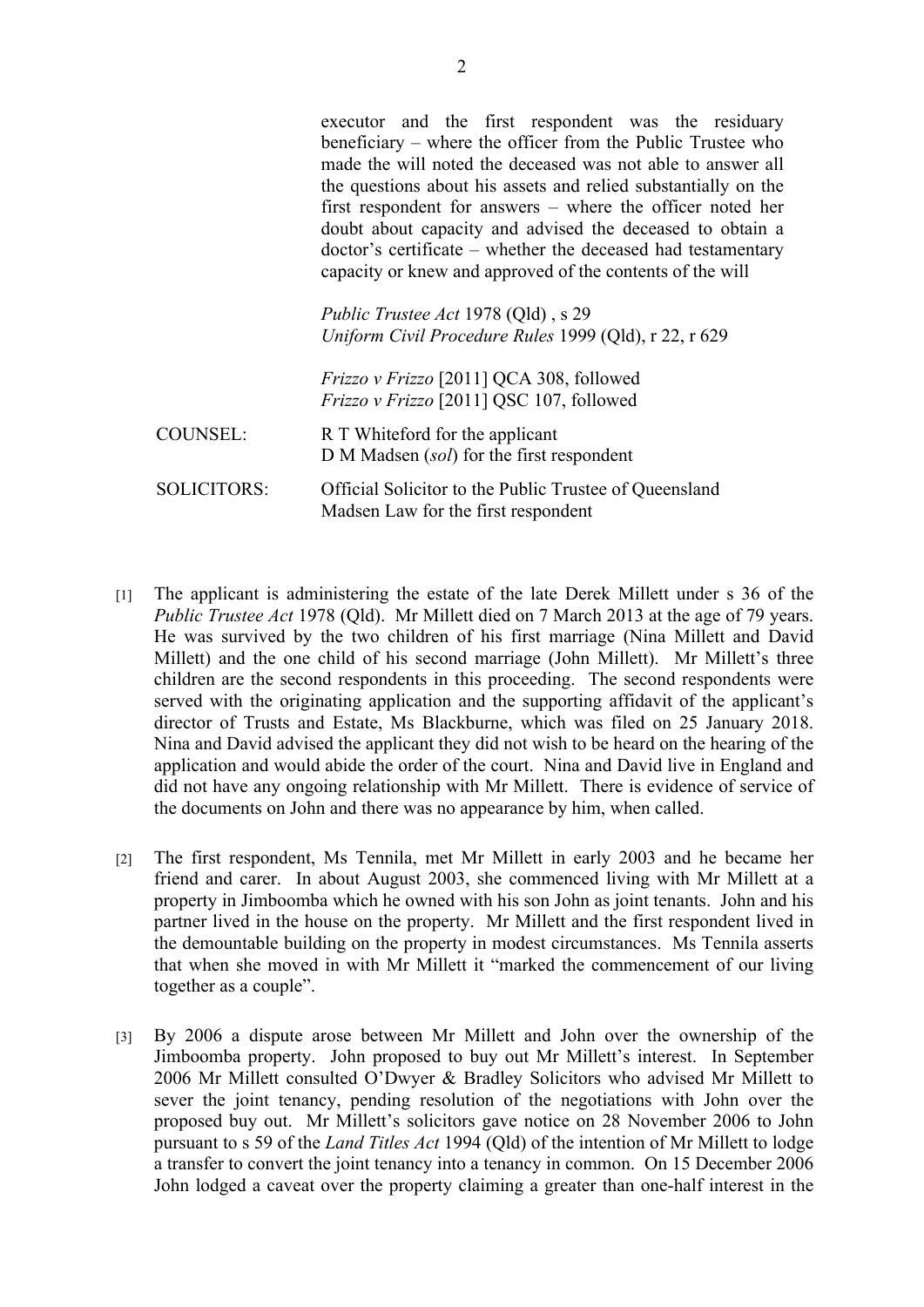|                    | executor and the first respondent was the residuary<br>beneficiary – where the officer from the Public Trustee who<br>made the will noted the deceased was not able to answer all<br>the questions about his assets and relied substantially on the<br>first respondent for answers – where the officer noted her<br>doubt about capacity and advised the deceased to obtain a<br>doctor's certificate – whether the deceased had testamentary<br>capacity or knew and approved of the contents of the will<br><i>Public Trustee Act 1978 (Qld)</i> , s 29<br>Uniform Civil Procedure Rules 1999 (Qld), r 22, r 629<br><i>Frizzo v Frizzo</i> [2011] QCA 308, followed |
|--------------------|------------------------------------------------------------------------------------------------------------------------------------------------------------------------------------------------------------------------------------------------------------------------------------------------------------------------------------------------------------------------------------------------------------------------------------------------------------------------------------------------------------------------------------------------------------------------------------------------------------------------------------------------------------------------|
|                    | <i>Frizzo v Frizzo</i> [2011] QSC 107, followed                                                                                                                                                                                                                                                                                                                                                                                                                                                                                                                                                                                                                        |
| COUNSEL:           | R T Whiteford for the applicant<br>D M Madsen (sol) for the first respondent                                                                                                                                                                                                                                                                                                                                                                                                                                                                                                                                                                                           |
| <b>SOLICITORS:</b> | Official Solicitor to the Public Trustee of Queensland<br>Madsen Law for the first respondent                                                                                                                                                                                                                                                                                                                                                                                                                                                                                                                                                                          |

- [1] The applicant is administering the estate of the late Derek Millett under s 36 of the *Public Trustee Act* 1978 (Qld). Mr Millett died on 7 March 2013 at the age of 79 years. He was survived by the two children of his first marriage (Nina Millett and David Millett) and the one child of his second marriage (John Millett). Mr Millett's three children are the second respondents in this proceeding. The second respondents were served with the originating application and the supporting affidavit of the applicant's director of Trusts and Estate, Ms Blackburne, which was filed on 25 January 2018. Nina and David advised the applicant they did not wish to be heard on the hearing of the application and would abide the order of the court. Nina and David live in England and did not have any ongoing relationship with Mr Millett. There is evidence of service of the documents on John and there was no appearance by him, when called.
- [2] The first respondent, Ms Tennila, met Mr Millett in early 2003 and he became her friend and carer. In about August 2003, she commenced living with Mr Millett at a property in Jimboomba which he owned with his son John as joint tenants. John and his partner lived in the house on the property. Mr Millett and the first respondent lived in the demountable building on the property in modest circumstances. Ms Tennila asserts that when she moved in with Mr Millett it "marked the commencement of our living together as a couple".
- [3] By 2006 a dispute arose between Mr Millett and John over the ownership of the Jimboomba property. John proposed to buy out Mr Millett's interest. In September 2006 Mr Millett consulted O'Dwyer & Bradley Solicitors who advised Mr Millett to sever the joint tenancy, pending resolution of the negotiations with John over the proposed buy out. Mr Millett's solicitors gave notice on 28 November 2006 to John pursuant to s 59 of the *Land Titles Act* 1994 (Qld) of the intention of Mr Millett to lodge a transfer to convert the joint tenancy into a tenancy in common. On 15 December 2006 John lodged a caveat over the property claiming a greater than one-half interest in the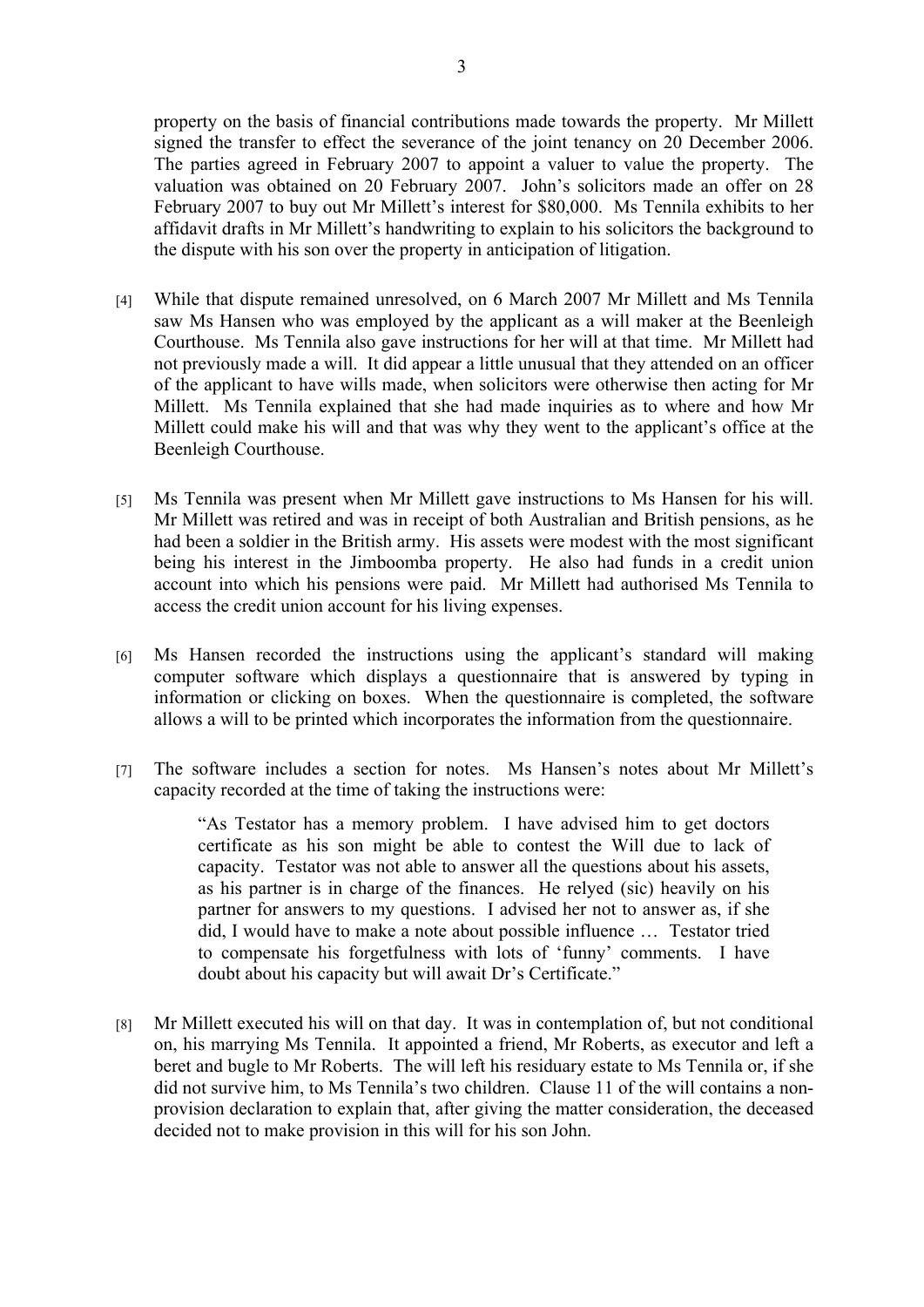property on the basis of financial contributions made towards the property. Mr Millett signed the transfer to effect the severance of the joint tenancy on 20 December 2006. The parties agreed in February 2007 to appoint a valuer to value the property. The valuation was obtained on 20 February 2007. John's solicitors made an offer on 28 February 2007 to buy out Mr Millett's interest for \$80,000. Ms Tennila exhibits to her affidavit drafts in Mr Millett's handwriting to explain to his solicitors the background to the dispute with his son over the property in anticipation of litigation.

- [4] While that dispute remained unresolved, on 6 March 2007 Mr Millett and Ms Tennila saw Ms Hansen who was employed by the applicant as a will maker at the Beenleigh Courthouse. Ms Tennila also gave instructions for her will at that time. Mr Millett had not previously made a will. It did appear a little unusual that they attended on an officer of the applicant to have wills made, when solicitors were otherwise then acting for Mr Millett. Ms Tennila explained that she had made inquiries as to where and how Mr Millett could make his will and that was why they went to the applicant's office at the Beenleigh Courthouse.
- [5] Ms Tennila was present when Mr Millett gave instructions to Ms Hansen for his will. Mr Millett was retired and was in receipt of both Australian and British pensions, as he had been a soldier in the British army. His assets were modest with the most significant being his interest in the Jimboomba property. He also had funds in a credit union account into which his pensions were paid. Mr Millett had authorised Ms Tennila to access the credit union account for his living expenses.
- [6] Ms Hansen recorded the instructions using the applicant's standard will making computer software which displays a questionnaire that is answered by typing in information or clicking on boxes. When the questionnaire is completed, the software allows a will to be printed which incorporates the information from the questionnaire.
- [7] The software includes a section for notes. Ms Hansen's notes about Mr Millett's capacity recorded at the time of taking the instructions were:

"As Testator has a memory problem. I have advised him to get doctors certificate as his son might be able to contest the Will due to lack of capacity. Testator was not able to answer all the questions about his assets, as his partner is in charge of the finances. He relyed (sic) heavily on his partner for answers to my questions. I advised her not to answer as, if she did, I would have to make a note about possible influence … Testator tried to compensate his forgetfulness with lots of 'funny' comments. I have doubt about his capacity but will await Dr's Certificate."

[8] Mr Millett executed his will on that day. It was in contemplation of, but not conditional on, his marrying Ms Tennila. It appointed a friend, Mr Roberts, as executor and left a beret and bugle to Mr Roberts. The will left his residuary estate to Ms Tennila or, if she did not survive him, to Ms Tennila's two children. Clause 11 of the will contains a nonprovision declaration to explain that, after giving the matter consideration, the deceased decided not to make provision in this will for his son John.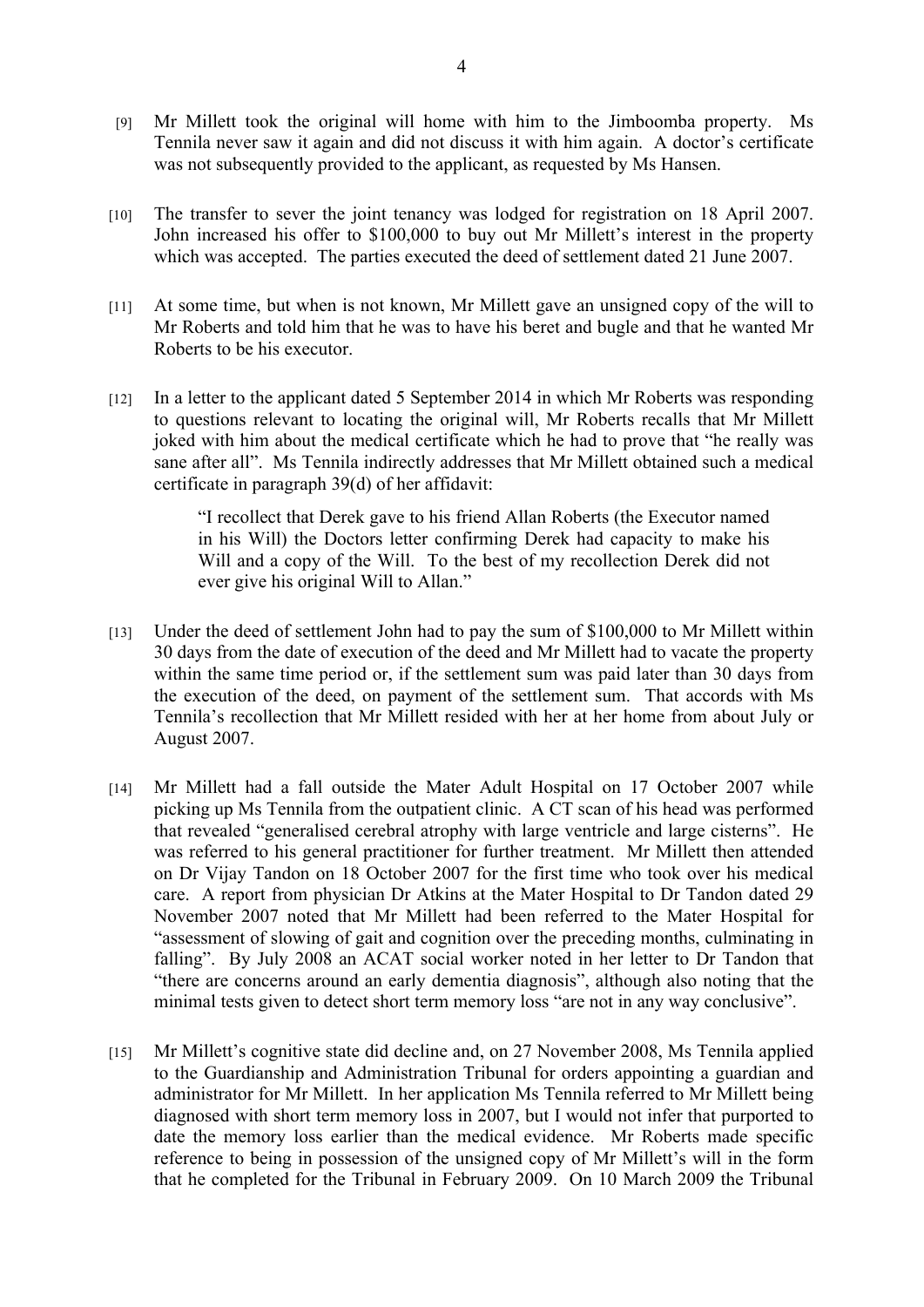- [9] Mr Millett took the original will home with him to the Jimboomba property. Ms Tennila never saw it again and did not discuss it with him again. A doctor's certificate was not subsequently provided to the applicant, as requested by Ms Hansen.
- [10] The transfer to sever the joint tenancy was lodged for registration on 18 April 2007. John increased his offer to \$100,000 to buy out Mr Millett's interest in the property which was accepted. The parties executed the deed of settlement dated 21 June 2007.
- [11] At some time, but when is not known, Mr Millett gave an unsigned copy of the will to Mr Roberts and told him that he was to have his beret and bugle and that he wanted Mr Roberts to be his executor.
- [12] In a letter to the applicant dated 5 September 2014 in which Mr Roberts was responding to questions relevant to locating the original will, Mr Roberts recalls that Mr Millett joked with him about the medical certificate which he had to prove that "he really was sane after all". Ms Tennila indirectly addresses that Mr Millett obtained such a medical certificate in paragraph 39(d) of her affidavit:

"I recollect that Derek gave to his friend Allan Roberts (the Executor named in his Will) the Doctors letter confirming Derek had capacity to make his Will and a copy of the Will. To the best of my recollection Derek did not ever give his original Will to Allan."

- [13] Under the deed of settlement John had to pay the sum of \$100,000 to Mr Millett within 30 days from the date of execution of the deed and Mr Millett had to vacate the property within the same time period or, if the settlement sum was paid later than 30 days from the execution of the deed, on payment of the settlement sum. That accords with Ms Tennila's recollection that Mr Millett resided with her at her home from about July or August 2007.
- [14] Mr Millett had a fall outside the Mater Adult Hospital on 17 October 2007 while picking up Ms Tennila from the outpatient clinic. A CT scan of his head was performed that revealed "generalised cerebral atrophy with large ventricle and large cisterns". He was referred to his general practitioner for further treatment. Mr Millett then attended on Dr Vijay Tandon on 18 October 2007 for the first time who took over his medical care. A report from physician Dr Atkins at the Mater Hospital to Dr Tandon dated 29 November 2007 noted that Mr Millett had been referred to the Mater Hospital for "assessment of slowing of gait and cognition over the preceding months, culminating in falling". By July 2008 an ACAT social worker noted in her letter to Dr Tandon that "there are concerns around an early dementia diagnosis", although also noting that the minimal tests given to detect short term memory loss "are not in any way conclusive".
- [15] Mr Millett's cognitive state did decline and, on 27 November 2008, Ms Tennila applied to the Guardianship and Administration Tribunal for orders appointing a guardian and administrator for Mr Millett. In her application Ms Tennila referred to Mr Millett being diagnosed with short term memory loss in 2007, but I would not infer that purported to date the memory loss earlier than the medical evidence. Mr Roberts made specific reference to being in possession of the unsigned copy of Mr Millett's will in the form that he completed for the Tribunal in February 2009. On 10 March 2009 the Tribunal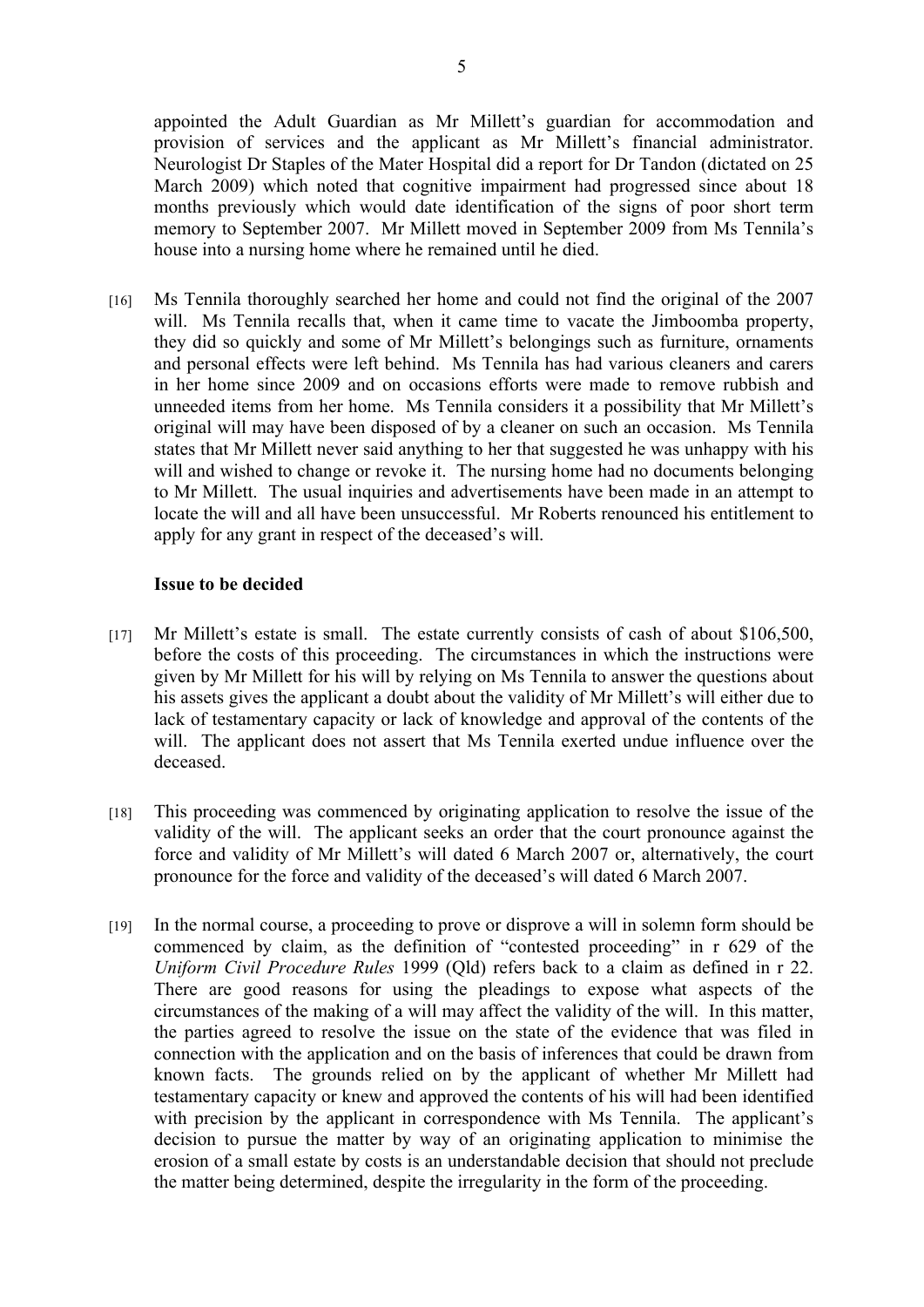appointed the Adult Guardian as Mr Millett's guardian for accommodation and provision of services and the applicant as Mr Millett's financial administrator. Neurologist Dr Staples of the Mater Hospital did a report for Dr Tandon (dictated on 25 March 2009) which noted that cognitive impairment had progressed since about 18 months previously which would date identification of the signs of poor short term memory to September 2007. Mr Millett moved in September 2009 from Ms Tennila's house into a nursing home where he remained until he died.

[16] Ms Tennila thoroughly searched her home and could not find the original of the 2007 will. Ms Tennila recalls that, when it came time to vacate the Jimboomba property, they did so quickly and some of Mr Millett's belongings such as furniture, ornaments and personal effects were left behind. Ms Tennila has had various cleaners and carers in her home since 2009 and on occasions efforts were made to remove rubbish and unneeded items from her home. Ms Tennila considers it a possibility that Mr Millett's original will may have been disposed of by a cleaner on such an occasion. Ms Tennila states that Mr Millett never said anything to her that suggested he was unhappy with his will and wished to change or revoke it. The nursing home had no documents belonging to Mr Millett. The usual inquiries and advertisements have been made in an attempt to locate the will and all have been unsuccessful. Mr Roberts renounced his entitlement to apply for any grant in respect of the deceased's will.

### **Issue to be decided**

- [17] Mr Millett's estate is small. The estate currently consists of cash of about \$106,500, before the costs of this proceeding. The circumstances in which the instructions were given by Mr Millett for his will by relying on Ms Tennila to answer the questions about his assets gives the applicant a doubt about the validity of Mr Millett's will either due to lack of testamentary capacity or lack of knowledge and approval of the contents of the will. The applicant does not assert that Ms Tennila exerted undue influence over the deceased.
- [18] This proceeding was commenced by originating application to resolve the issue of the validity of the will. The applicant seeks an order that the court pronounce against the force and validity of Mr Millett's will dated 6 March 2007 or, alternatively, the court pronounce for the force and validity of the deceased's will dated 6 March 2007.
- [19] In the normal course, a proceeding to prove or disprove a will in solemn form should be commenced by claim, as the definition of "contested proceeding" in r 629 of the *Uniform Civil Procedure Rules* 1999 (Qld) refers back to a claim as defined in r 22. There are good reasons for using the pleadings to expose what aspects of the circumstances of the making of a will may affect the validity of the will. In this matter, the parties agreed to resolve the issue on the state of the evidence that was filed in connection with the application and on the basis of inferences that could be drawn from known facts. The grounds relied on by the applicant of whether Mr Millett had testamentary capacity or knew and approved the contents of his will had been identified with precision by the applicant in correspondence with Ms Tennila. The applicant's decision to pursue the matter by way of an originating application to minimise the erosion of a small estate by costs is an understandable decision that should not preclude the matter being determined, despite the irregularity in the form of the proceeding.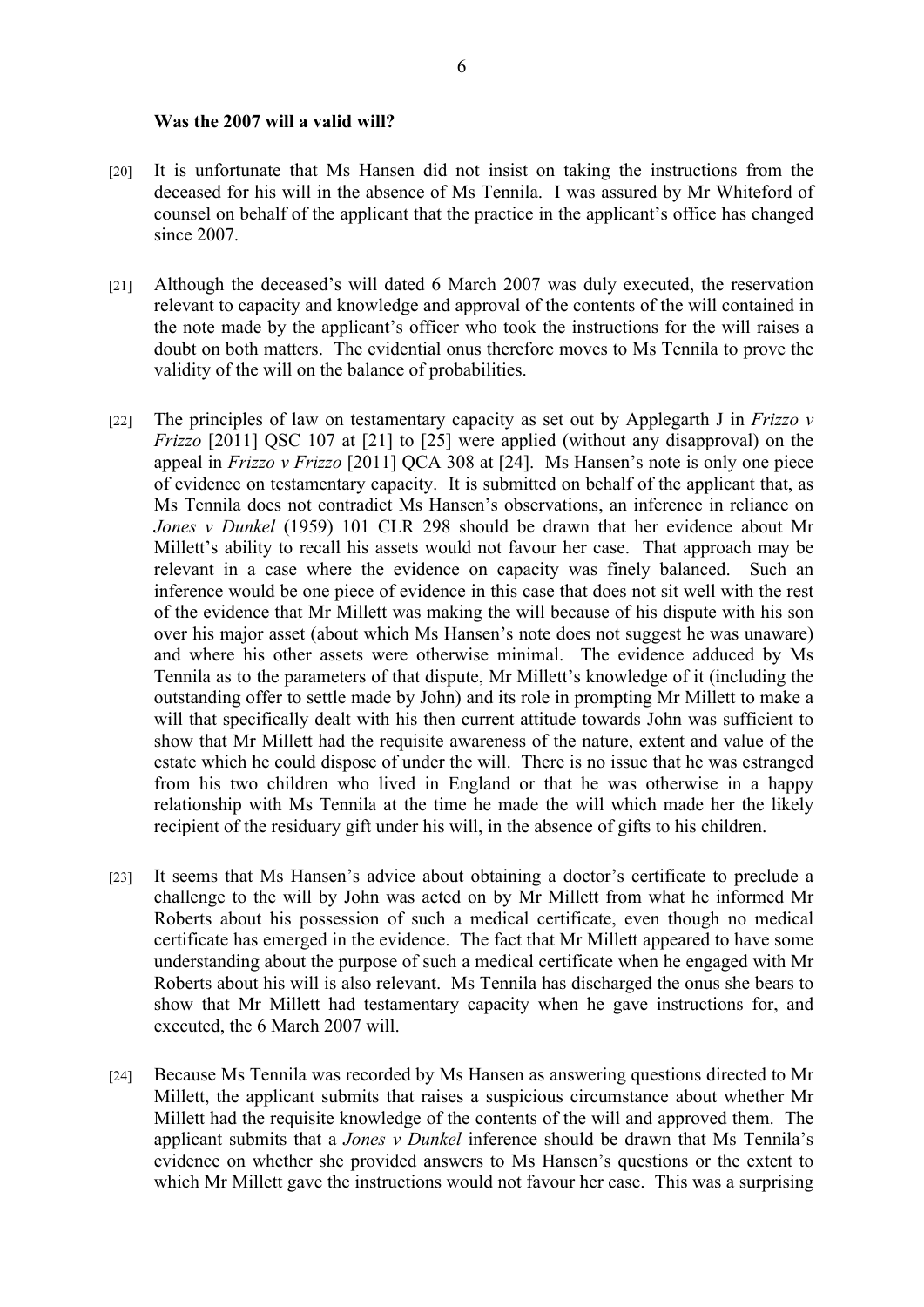#### **Was the 2007 will a valid will?**

- [20] It is unfortunate that Ms Hansen did not insist on taking the instructions from the deceased for his will in the absence of Ms Tennila. I was assured by Mr Whiteford of counsel on behalf of the applicant that the practice in the applicant's office has changed since 2007.
- [21] Although the deceased's will dated 6 March 2007 was duly executed, the reservation relevant to capacity and knowledge and approval of the contents of the will contained in the note made by the applicant's officer who took the instructions for the will raises a doubt on both matters. The evidential onus therefore moves to Ms Tennila to prove the validity of the will on the balance of probabilities.
- [22] The principles of law on testamentary capacity as set out by Applegarth J in *Frizzo v Frizzo* [2011] QSC 107 at [21] to [25] were applied (without any disapproval) on the appeal in *Frizzo v Frizzo* [2011] QCA 308 at [24]. Ms Hansen's note is only one piece of evidence on testamentary capacity. It is submitted on behalf of the applicant that, as Ms Tennila does not contradict Ms Hansen's observations, an inference in reliance on *Jones v Dunkel* (1959) 101 CLR 298 should be drawn that her evidence about Mr Millett's ability to recall his assets would not favour her case. That approach may be relevant in a case where the evidence on capacity was finely balanced. Such an inference would be one piece of evidence in this case that does not sit well with the rest of the evidence that Mr Millett was making the will because of his dispute with his son over his major asset (about which Ms Hansen's note does not suggest he was unaware) and where his other assets were otherwise minimal. The evidence adduced by Ms Tennila as to the parameters of that dispute, Mr Millett's knowledge of it (including the outstanding offer to settle made by John) and its role in prompting Mr Millett to make a will that specifically dealt with his then current attitude towards John was sufficient to show that Mr Millett had the requisite awareness of the nature, extent and value of the estate which he could dispose of under the will. There is no issue that he was estranged from his two children who lived in England or that he was otherwise in a happy relationship with Ms Tennila at the time he made the will which made her the likely recipient of the residuary gift under his will, in the absence of gifts to his children.
- [23] It seems that Ms Hansen's advice about obtaining a doctor's certificate to preclude a challenge to the will by John was acted on by Mr Millett from what he informed Mr Roberts about his possession of such a medical certificate, even though no medical certificate has emerged in the evidence. The fact that Mr Millett appeared to have some understanding about the purpose of such a medical certificate when he engaged with Mr Roberts about his will is also relevant. Ms Tennila has discharged the onus she bears to show that Mr Millett had testamentary capacity when he gave instructions for, and executed, the 6 March 2007 will.
- [24] Because Ms Tennila was recorded by Ms Hansen as answering questions directed to Mr Millett, the applicant submits that raises a suspicious circumstance about whether Mr Millett had the requisite knowledge of the contents of the will and approved them. The applicant submits that a *Jones v Dunkel* inference should be drawn that Ms Tennila's evidence on whether she provided answers to Ms Hansen's questions or the extent to which Mr Millett gave the instructions would not favour her case. This was a surprising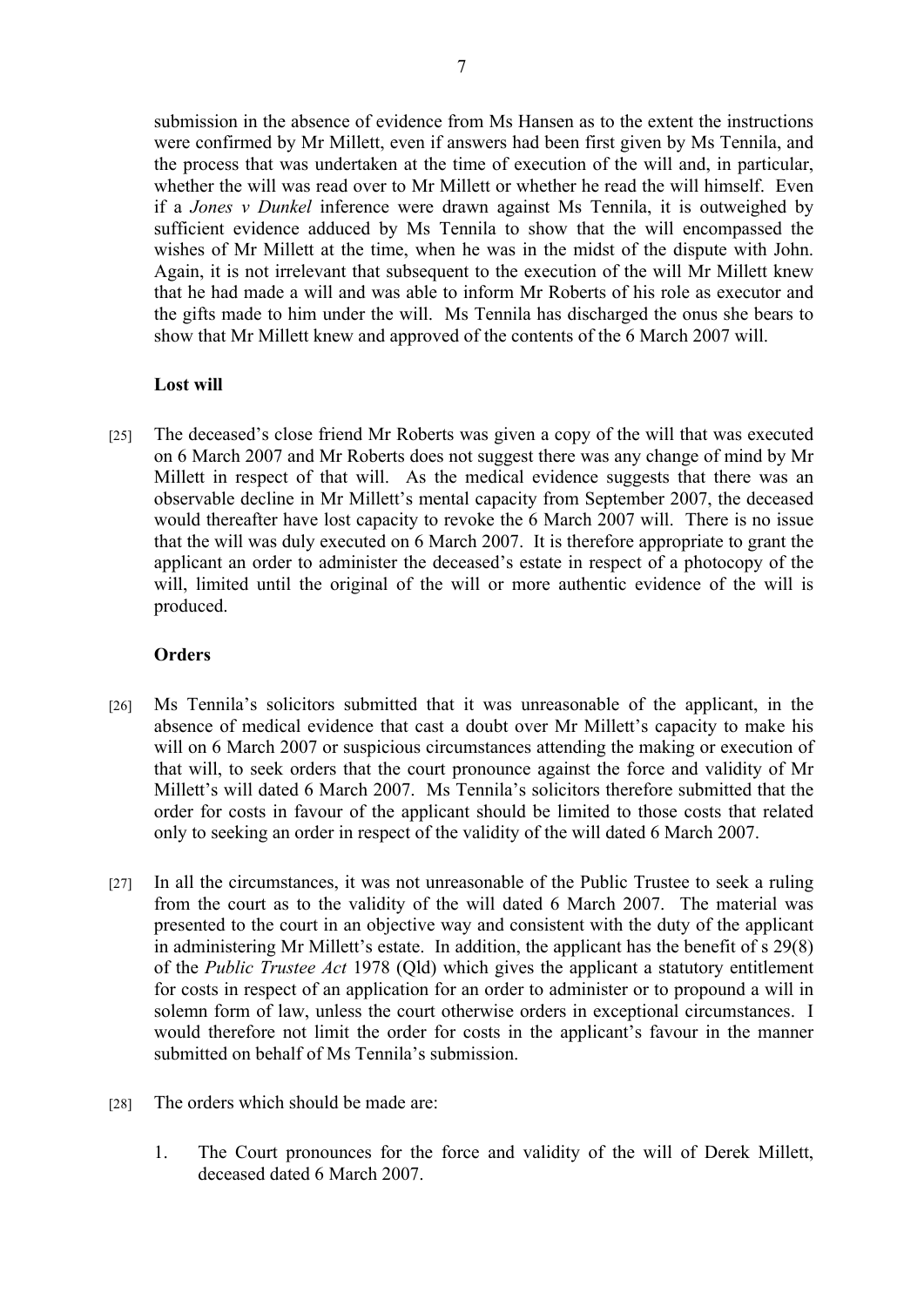submission in the absence of evidence from Ms Hansen as to the extent the instructions were confirmed by Mr Millett, even if answers had been first given by Ms Tennila, and the process that was undertaken at the time of execution of the will and, in particular, whether the will was read over to Mr Millett or whether he read the will himself. Even if a *Jones v Dunkel* inference were drawn against Ms Tennila, it is outweighed by sufficient evidence adduced by Ms Tennila to show that the will encompassed the wishes of Mr Millett at the time, when he was in the midst of the dispute with John. Again, it is not irrelevant that subsequent to the execution of the will Mr Millett knew that he had made a will and was able to inform Mr Roberts of his role as executor and the gifts made to him under the will. Ms Tennila has discharged the onus she bears to show that Mr Millett knew and approved of the contents of the 6 March 2007 will.

# **Lost will**

[25] The deceased's close friend Mr Roberts was given a copy of the will that was executed on 6 March 2007 and Mr Roberts does not suggest there was any change of mind by Mr Millett in respect of that will. As the medical evidence suggests that there was an observable decline in Mr Millett's mental capacity from September 2007, the deceased would thereafter have lost capacity to revoke the 6 March 2007 will. There is no issue that the will was duly executed on 6 March 2007. It is therefore appropriate to grant the applicant an order to administer the deceased's estate in respect of a photocopy of the will, limited until the original of the will or more authentic evidence of the will is produced.

## **Orders**

- [26] Ms Tennila's solicitors submitted that it was unreasonable of the applicant, in the absence of medical evidence that cast a doubt over Mr Millett's capacity to make his will on 6 March 2007 or suspicious circumstances attending the making or execution of that will, to seek orders that the court pronounce against the force and validity of Mr Millett's will dated 6 March 2007. Ms Tennila's solicitors therefore submitted that the order for costs in favour of the applicant should be limited to those costs that related only to seeking an order in respect of the validity of the will dated 6 March 2007.
- [27] In all the circumstances, it was not unreasonable of the Public Trustee to seek a ruling from the court as to the validity of the will dated 6 March 2007. The material was presented to the court in an objective way and consistent with the duty of the applicant in administering Mr Millett's estate. In addition, the applicant has the benefit of s 29(8) of the *Public Trustee Act* 1978 (Qld) which gives the applicant a statutory entitlement for costs in respect of an application for an order to administer or to propound a will in solemn form of law, unless the court otherwise orders in exceptional circumstances. I would therefore not limit the order for costs in the applicant's favour in the manner submitted on behalf of Ms Tennila's submission.
- [28] The orders which should be made are:
	- 1. The Court pronounces for the force and validity of the will of Derek Millett, deceased dated 6 March 2007.